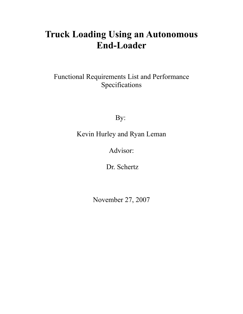# **Truck Loading Using an Autonomous End-Loader**

Functional Requirements List and Performance Specifications

By:

Kevin Hurley and Ryan Leman

Advisor:

Dr. Schertz

November 27, 2007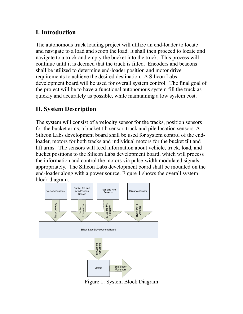# **I. Introduction**

The autonomous truck loading project will utilize an end-loader to locate and navigate to a load and scoop the load. It shall then proceed to locate and navigate to a truck and empty the bucket into the truck. This process will continue until it is deemed that the truck is filled. Encoders and beacons shall be utilized to determine end-loader position and motor drive requirements to achieve the desired destination. A Silicon Labs development board will be used for overall system control. The final goal of the project will be to have a functional autonomous system fill the truck as quickly and accurately as possible, while maintaining a low system cost.

# **II. System Description**

The system will consist of a velocity sensor for the tracks, position sensors for the bucket arms, a bucket tilt sensor, truck and pile location sensors. A Silicon Labs development board shall be used for system control of the endloader, motors for both tracks and individual motors for the bucket tilt and lift arms. The sensors will feed information about vehicle, truck, load, and bucket positions to the Silicon Labs development board, which will process the information and control the motors via pulse-width modulated signals appropriately. The Silicon Labs development board shall be mounted on the end-loader along with a power source. Figure 1 shows the overall system block diagram.



Figure 1: System Block Diagram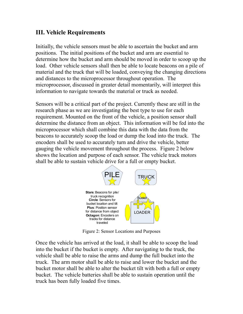### **III. Vehicle Requirements**

Initially, the vehicle sensors must be able to ascertain the bucket and arm positions. The initial positions of the bucket and arm are essential to determine how the bucket and arm should be moved in order to scoop up the load. Other vehicle sensors shall then be able to locate beacons on a pile of material and the truck that will be loaded, conveying the changing directions and distances to the microprocessor throughout operation. The microprocessor, discussed in greater detail momentarily, will interpret this information to navigate towards the material or truck as needed.

Sensors will be a critical part of the project. Currently these are still in the research phase as we are investigating the best type to use for each requirement. Mounted on the front of the vehicle, a position sensor shall determine the distance from an object. This information will be fed into the microprocessor which shall combine this data with the data from the beacons to accurately scoop the load or dump the load into the truck. The encoders shall be used to accurately turn and drive the vehicle, better gauging the vehicle movement throughout the process. Figure 2 below shows the location and purpose of each sensor. The vehicle track motors shall be able to sustain vehicle drive for a full or empty bucket.



Figure 2: Sensor Locations and Purposes

Once the vehicle has arrived at the load, it shall be able to scoop the load into the bucket if the bucket is empty. After navigating to the truck, the vehicle shall be able to raise the arms and dump the full bucket into the truck. The arm motor shall be able to raise and lower the bucket and the bucket motor shall be able to alter the bucket tilt with both a full or empty bucket. The vehicle batteries shall be able to sustain operation until the truck has been fully loaded five times.